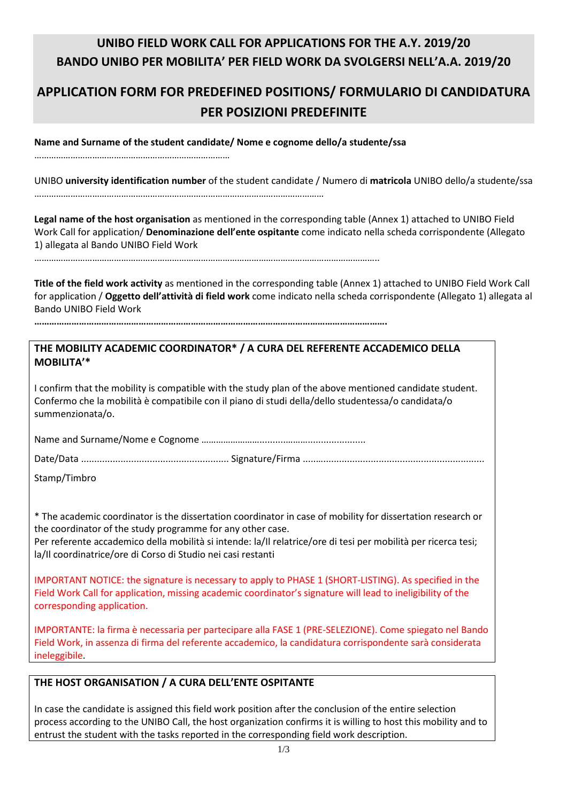# **UNIBO FIELD WORK CALL FOR APPLICATIONS FOR THE A.Y. 2019/20 BANDO UNIBO PER MOBILITA' PER FIELD WORK DA SVOLGERSI NELL'A.A. 2019/20**

# **APPLICATION FORM FOR PREDEFINED POSITIONS/ FORMULARIO DI CANDIDATURA PER POSIZIONI PREDEFINITE**

**Name and Surname of the student candidate/ Nome e cognome dello/a studente/ssa** 

………………………………………………………………………

UNIBO **university identification number** of the student candidate / Numero di **matricola** UNIBO dello/a studente/ssa …………………………………………………………………………………………………………

**Legal name of the host organisation** as mentioned in the corresponding table (Annex 1) attached to UNIBO Field Work Call for application/ **Denominazione dell'ente ospitante** come indicato nella scheda corrispondente (Allegato 1) allegata al Bando UNIBO Field Work

……………………………………………………………………………………………………………………………..

**Title of the field work activity** as mentioned in the corresponding table (Annex 1) attached to UNIBO Field Work Call for application / **Oggetto dell'attività di field work** come indicato nella scheda corrispondente (Allegato 1) allegata al Bando UNIBO Field Work

**…………………………………………………………………………………………………………………………….** 

# **THE MOBILITY ACADEMIC COORDINATOR\* / A CURA DEL REFERENTE ACCADEMICO DELLA MOBILITA'\***

I confirm that the mobility is compatible with the study plan of the above mentioned candidate student. Confermo che la mobilità è compatibile con il piano di studi della/dello studentessa/o candidata/o summenzionata/o.

Name and Surname/Nome e Cognome ……………………..........………......................

Date/Data ........................................................ Signature/Firma .....….............................................................

Stamp/Timbro

\* The academic coordinator is the dissertation coordinator in case of mobility for dissertation research or the coordinator of the study programme for any other case.

Per referente accademico della mobilità si intende: la/Il relatrice/ore di tesi per mobilità per ricerca tesi; la/Il coordinatrice/ore di Corso di Studio nei casi restanti

IMPORTANT NOTICE: the signature is necessary to apply to PHASE 1 (SHORT-LISTING). As specified in the Field Work Call for application, missing academic coordinator's signature will lead to ineligibility of the corresponding application.

IMPORTANTE: la firma è necessaria per partecipare alla FASE 1 (PRE-SELEZIONE). Come spiegato nel Bando Field Work, in assenza di firma del referente accademico, la candidatura corrispondente sarà considerata ineleggibile.

## **THE HOST ORGANISATION / A CURA DELL'ENTE OSPITANTE**

In case the candidate is assigned this field work position after the conclusion of the entire selection process according to the UNIBO Call, the host organization confirms it is willing to host this mobility and to entrust the student with the tasks reported in the corresponding field work description.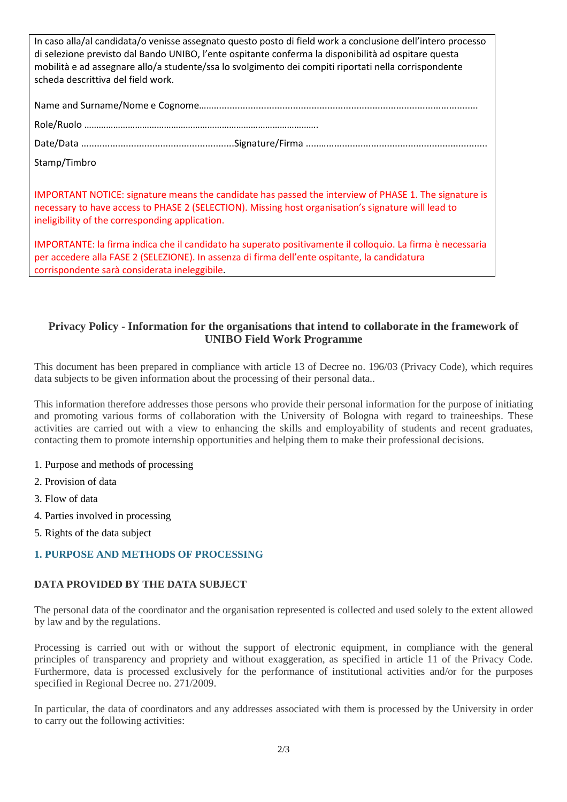| In caso alla/al candidata/o venisse assegnato questo posto di field work a conclusione dell'intero processo<br>di selezione previsto dal Bando UNIBO, l'ente ospitante conferma la disponibilità ad ospitare questa<br>mobilità e ad assegnare allo/a studente/ssa lo svolgimento dei compiti riportati nella corrispondente<br>scheda descrittiva del field work. |
|--------------------------------------------------------------------------------------------------------------------------------------------------------------------------------------------------------------------------------------------------------------------------------------------------------------------------------------------------------------------|
|                                                                                                                                                                                                                                                                                                                                                                    |
|                                                                                                                                                                                                                                                                                                                                                                    |
|                                                                                                                                                                                                                                                                                                                                                                    |
| Stamp/Timbro                                                                                                                                                                                                                                                                                                                                                       |
| IMPORTANT NOTICE: signature means the candidate has passed the interview of PHASE 1. The signature is<br>necessary to have access to PHASE 2 (SELECTION). Missing host organisation's signature will lead to<br>ineligibility of the corresponding application.                                                                                                    |
| IMPORTANTE: la firma indica che il candidato ha superato positivamente il colloquio. La firma è necessaria<br>per accedere alla FASE 2 (SELEZIONE). In assenza di firma dell'ente ospitante, la candidatura<br>corrispondente sarà considerata ineleggibile.                                                                                                       |

## **Privacy Policy - Information for the organisations that intend to collaborate in the framework of UNIBO Field Work Programme**

This document has been prepared in compliance with article 13 of Decree no. 196/03 (Privacy Code), which requires data subjects to be given information about the processing of their personal data..

This information therefore addresses those persons who provide their personal information for the purpose of initiating and promoting various forms of collaboration with the University of Bologna with regard to traineeships. These activities are carried out with a view to enhancing the skills and employability of students and recent graduates, contacting them to promote internship opportunities and helping them to make their professional decisions.

### 1. Purpose and methods of processing

- 2. Provision of data
- 3. Flow of data
- 4. Parties involved in processing
- 5. Rights of the data subject

## **1. PURPOSE AND METHODS OF PROCESSING**

### **DATA PROVIDED BY THE DATA SUBJECT**

The personal data of the coordinator and the organisation represented is collected and used solely to the extent allowed by law and by the regulations.

Processing is carried out with or without the support of electronic equipment, in compliance with the general principles of transparency and propriety and without exaggeration, as specified in article 11 of the Privacy Code. Furthermore, data is processed exclusively for the performance of institutional activities and/or for the purposes specified in Regional Decree no. 271/2009.

In particular, the data of coordinators and any addresses associated with them is processed by the University in order to carry out the following activities: